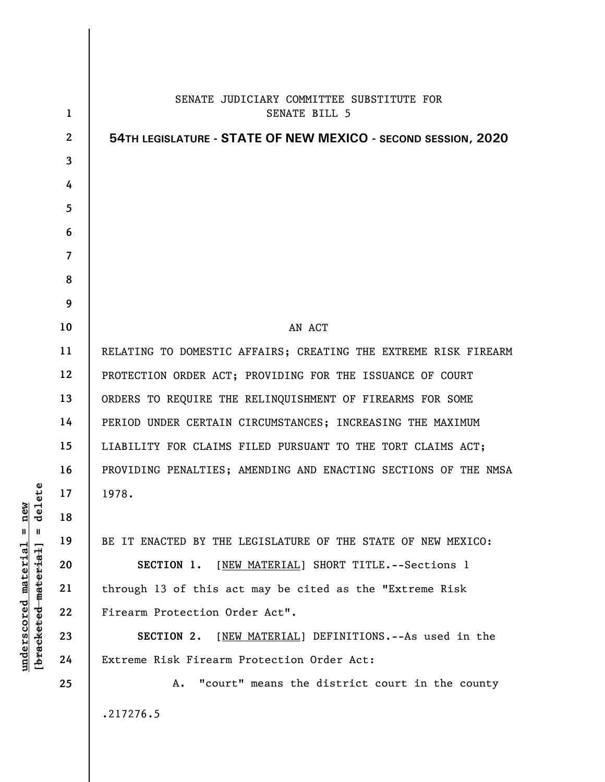| 1              | SENATE JUDICIARY COMMITTEE SUBSTITUTE FOR<br>SENATE BILL 5      |
|----------------|-----------------------------------------------------------------|
| $\overline{2}$ | 54TH LEGISLATURE - STATE OF NEW MEXICO - SECOND SESSION, 2020   |
| 3              |                                                                 |
| 4              |                                                                 |
| 5              |                                                                 |
| 6              |                                                                 |
| $\overline{7}$ |                                                                 |
| 8              |                                                                 |
| 9              |                                                                 |
| 10             | AN ACT                                                          |
| 11             | RELATING TO DOMESTIC AFFAIRS; CREATING THE EXTREME RISK FIREARM |
| 12             | PROTECTION ORDER ACT; PROVIDING FOR THE ISSUANCE OF COURT       |
| 13             | ORDERS TO REQUIRE THE RELINQUISHMENT OF FIREARMS FOR SOME       |
| 14             | PERIOD UNDER CERTAIN CIRCUMSTANCES; INCREASING THE MAXIMUM      |
| 15             | LIABILITY FOR CLAIMS FILED PURSUANT TO THE TORT CLAIMS ACT;     |
| 16             | PROVIDING PENALTIES; AMENDING AND ENACTING SECTIONS OF THE NMSA |
| 17             | 1978.                                                           |
| 18             |                                                                 |
| 19             | BE IT ENACTED BY THE LEGISLATURE OF THE STATE OF NEW MEXICO:    |
| 20             | SECTION 1. [NEW MATERIAL] SHORT TITLE. -- Sections 1            |
| 21             | through 13 of this act may be cited as the "Extreme Risk        |
| 22             | Firearm Protection Order Act".                                  |
| 23             | [NEW MATERIAL] DEFINITIONS.--As used in the<br>SECTION 2.       |
| 24             | Extreme Risk Firearm Protection Order Act:                      |
| 25             | "court" means the district court in the county<br>Α.            |
|                | .217276.5                                                       |

**underscored material = new [bracketed material] = delete**

 $[**bracket eted metert et**] = **del et e**$  $underscored material = new$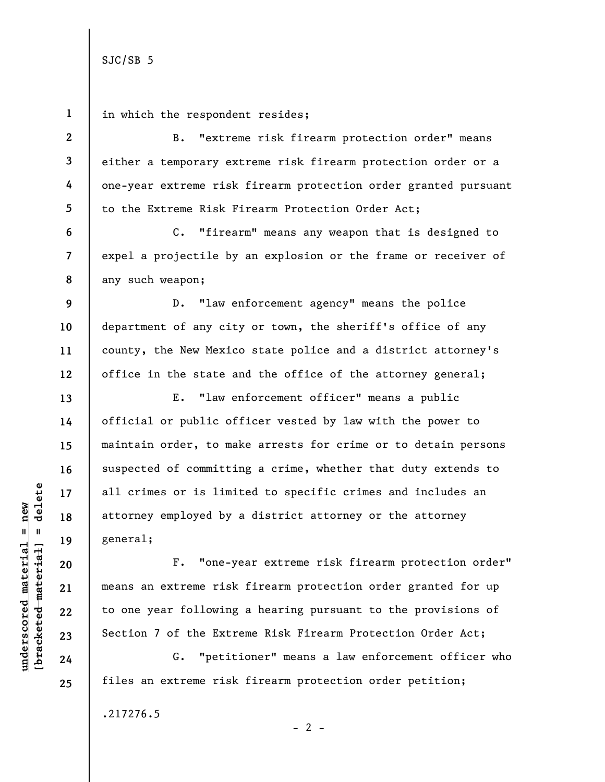**1 2 3 4 5 6**  C. "firearm" means any weapon that is designed to **7**  expel a projectile by an explosion or the frame or receiver of any such weapon; **8 9 10 11 12 13 14 15 16**   $b$ racketed material] = delete **[bracketed material] = delete 17 18**  general; **19 20**  means an extreme risk firearm protection order granted for up **21 22 23 24**  files an extreme risk firearm protection order petition; **25** 

Section 7 of the Extreme Risk Firearm Protection Order Act; G. "petitioner" means a law enforcement officer who

 $- 2 -$ 

.217276.5

D. "law enforcement agency" means the police department of any city or town, the sheriff's office of any county, the New Mexico state police and a district attorney's office in the state and the office of the attorney general;

E. "law enforcement officer" means a public official or public officer vested by law with the power to maintain order, to make arrests for crime or to detain persons suspected of committing a crime, whether that duty extends to all crimes or is limited to specific crimes and includes an attorney employed by a district attorney or the attorney

F. "one-year extreme risk firearm protection order"

to one year following a hearing pursuant to the provisions of

 $underscored material = new$ **underscored material = new**

in which the respondent resides;

B. "extreme risk firearm protection order" means either a temporary extreme risk firearm protection order or a one-year extreme risk firearm protection order granted pursuant to the Extreme Risk Firearm Protection Order Act;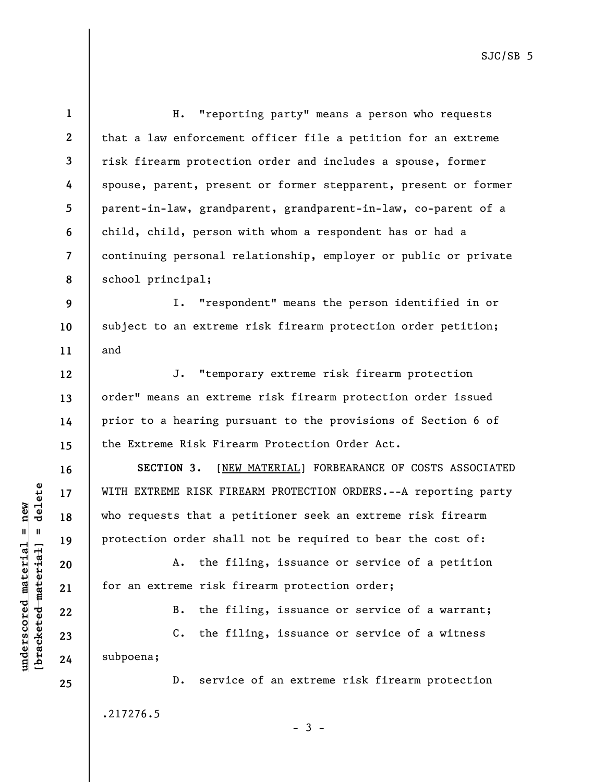H. "reporting party" means a person who requests that a law enforcement officer file a petition for an extreme risk firearm protection order and includes a spouse, former spouse, parent, present or former stepparent, present or former parent-in-law, grandparent, grandparent-in-law, co-parent of a child, child, person with whom a respondent has or had a continuing personal relationship, employer or public or private school principal;

**9 10 11**  I. "respondent" means the person identified in or subject to an extreme risk firearm protection order petition; and

J. "temporary extreme risk firearm protection order" means an extreme risk firearm protection order issued prior to a hearing pursuant to the provisions of Section 6 of the Extreme Risk Firearm Protection Order Act.

**SECTION 3.** [NEW MATERIAL] FORBEARANCE OF COSTS ASSOCIATED WITH EXTREME RISK FIREARM PROTECTION ORDERS.--A reporting party who requests that a petitioner seek an extreme risk firearm protection order shall not be required to bear the cost of:

A. the filing, issuance or service of a petition for an extreme risk firearm protection order;

B. the filing, issuance or service of a warrant;

C. the filing, issuance or service of a witness subpoena;

D. service of an extreme risk firearm protection .217276.5

**1** 

**2** 

**3** 

**4** 

**5** 

**6** 

**7** 

**8** 

**12** 

**13** 

**14** 

**15** 

**16** 

**17** 

**18** 

**19** 

**20** 

**21** 

**22** 

**23** 

**24** 

**25** 

 $-3 -$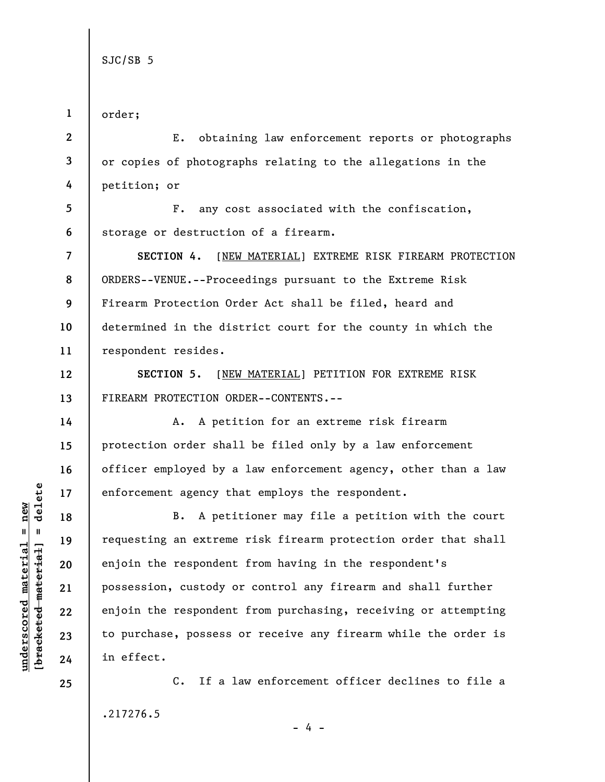**1 2 3 4 5 6 7 8 9 10 11 12 13 14 15 16 17 18 19 20 21 22 23 24 25**  order; E. obtaining law enforcement reports or photographs or copies of photographs relating to the allegations in the petition; or F. any cost associated with the confiscation, storage or destruction of a firearm. **SECTION 4.** [NEW MATERIAL] EXTREME RISK FIREARM PROTECTION ORDERS--VENUE.--Proceedings pursuant to the Extreme Risk Firearm Protection Order Act shall be filed, heard and determined in the district court for the county in which the respondent resides. **SECTION 5.** [NEW MATERIAL] PETITION FOR EXTREME RISK FIREARM PROTECTION ORDER--CONTENTS.-- A. A petition for an extreme risk firearm protection order shall be filed only by a law enforcement officer employed by a law enforcement agency, other than a law enforcement agency that employs the respondent. B. A petitioner may file a petition with the court requesting an extreme risk firearm protection order that shall enjoin the respondent from having in the respondent's possession, custody or control any firearm and shall further enjoin the respondent from purchasing, receiving or attempting to purchase, possess or receive any firearm while the order is in effect. C. If a law enforcement officer declines to file a

 $b$ racketed material] = delete **[bracketed material] = delete**  $underscored material = new$ **underscored material = new**

.217276.5

- 4 -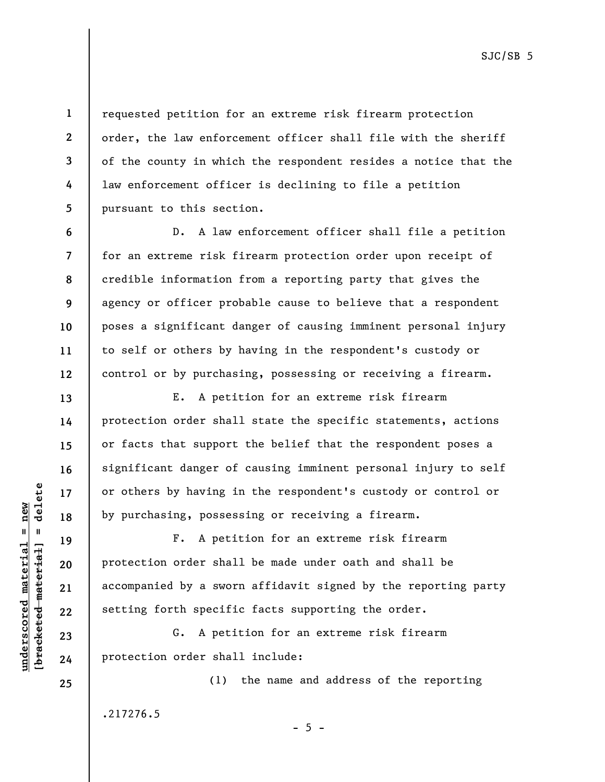requested petition for an extreme risk firearm protection order, the law enforcement officer shall file with the sheriff of the county in which the respondent resides a notice that the law enforcement officer is declining to file a petition pursuant to this section.

D. A law enforcement officer shall file a petition for an extreme risk firearm protection order upon receipt of credible information from a reporting party that gives the agency or officer probable cause to believe that a respondent poses a significant danger of causing imminent personal injury to self or others by having in the respondent's custody or control or by purchasing, possessing or receiving a firearm.

E. A petition for an extreme risk firearm protection order shall state the specific statements, actions or facts that support the belief that the respondent poses a significant danger of causing imminent personal injury to self or others by having in the respondent's custody or control or by purchasing, possessing or receiving a firearm.

F. A petition for an extreme risk firearm protection order shall be made under oath and shall be accompanied by a sworn affidavit signed by the reporting party setting forth specific facts supporting the order.

 $- 5 -$ 

G. A petition for an extreme risk firearm protection order shall include:

(1) the name and address of the reporting

.217276.5

 $b$ racketed material] = delete **[bracketed material] = delete**  $underscored material = new$ **underscored material = new**

**1** 

**2** 

**3** 

**4** 

**5** 

**6** 

**7** 

**8** 

**9** 

**10** 

**11** 

**12** 

**13** 

**14** 

**15** 

**16** 

**17** 

**18** 

**19** 

**20** 

**21** 

**22** 

**23** 

**24**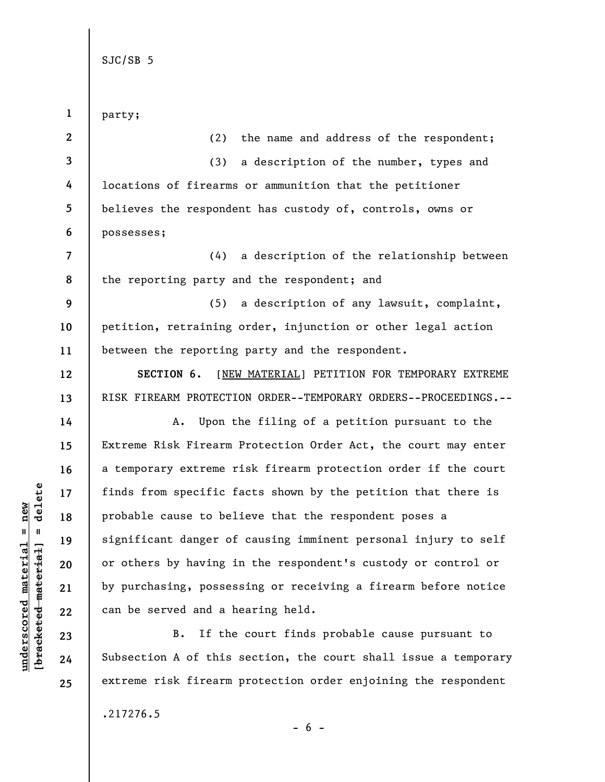| $\mathbf{1}$   | party;                                                          |
|----------------|-----------------------------------------------------------------|
| $2^{\circ}$    | (2)<br>the name and address of the respondent;                  |
| $\mathbf{3}$   | a description of the number, types and<br>(3)                   |
| 4              | locations of firearms or ammunition that the petitioner         |
| 5              | believes the respondent has custody of, controls, owns or       |
| 6              | possesses;                                                      |
| $\overline{7}$ | a description of the relationship between<br>(4)                |
| 8              | the reporting party and the respondent; and                     |
| 9              | (5) a description of any lawsuit, complaint,                    |
| 10             | petition, retraining order, injunction or other legal action    |
| 11             | between the reporting party and the respondent.                 |
| 12             | [NEW MATERIAL] PETITION FOR TEMPORARY EXTREME<br>SECTION 6.     |
| 13             | RISK FIREARM PROTECTION ORDER--TEMPORARY ORDERS--PROCEEDINGS.-- |
| 14             | Upon the filing of a petition pursuant to the<br>А.             |
| 15             | Extreme Risk Firearm Protection Order Act, the court may enter  |
| 16             | a temporary extreme risk firearm protection order if the court  |
| 17             | finds from specific facts shown by the petition that there is   |
| 18             | probable cause to believe that the respondent poses a           |
| 19             | significant danger of causing imminent personal injury to self  |
| 20             | or others by having in the respondent's custody or control or   |
| 21             | by purchasing, possessing or receiving a firearm before notice  |
| 22             | can be served and a hearing held.                               |
| 23             | If the court finds probable cause pursuant to<br>B.             |
| 24             | Subsection A of this section, the court shall issue a temporary |

 $[**bracketed**-**meterial**] = **delete**$ **[bracketed material] = delete**  $underscored material = new$ **underscored material = new**

**25** 

.217276.5

- 6 -

extreme risk firearm protection order enjoining the respondent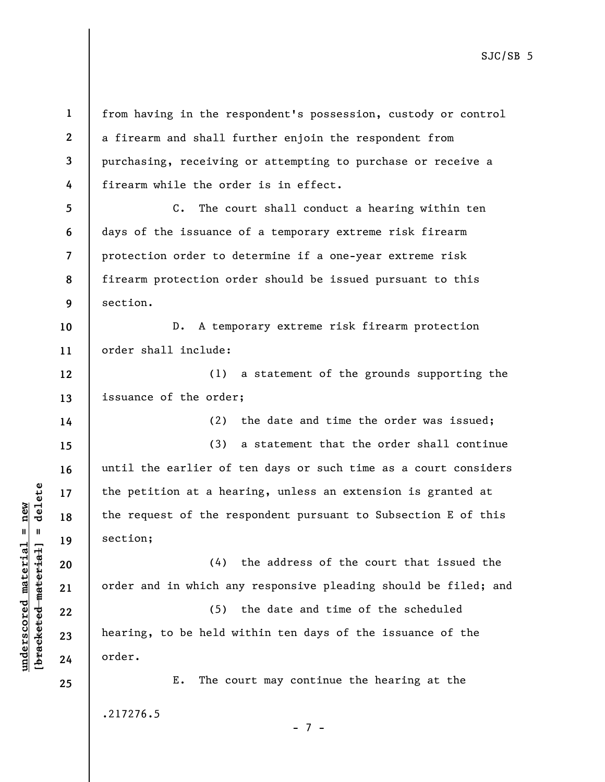from having in the respondent's possession, custody or control a firearm and shall further enjoin the respondent from purchasing, receiving or attempting to purchase or receive a firearm while the order is in effect.

**5 6 7 8 9**  C. The court shall conduct a hearing within ten days of the issuance of a temporary extreme risk firearm protection order to determine if a one-year extreme risk firearm protection order should be issued pursuant to this section.

**10 11**  D. A temporary extreme risk firearm protection order shall include:

**12 13**  (1) a statement of the grounds supporting the issuance of the order;

(2) the date and time the order was issued; (3) a statement that the order shall continue until the earlier of ten days or such time as a court considers the petition at a hearing, unless an extension is granted at the request of the respondent pursuant to Subsection E of this section;

(4) the address of the court that issued the order and in which any responsive pleading should be filed; and

(5) the date and time of the scheduled hearing, to be held within ten days of the issuance of the order.

E. The court may continue the hearing at the .217276.5

- 7 -

**1** 

**2** 

**3** 

**4** 

**14** 

**15** 

**16** 

**17** 

**18** 

**19** 

**20** 

**21** 

**22** 

**23** 

**24**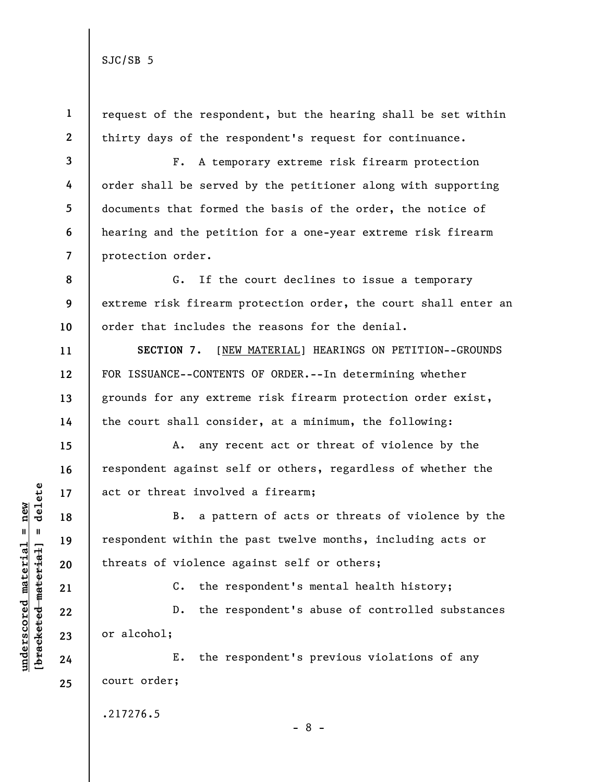**1 2**  request of the respondent, but the hearing shall be set within thirty days of the respondent's request for continuance.

**3 4 5 6 7**  F. A temporary extreme risk firearm protection order shall be served by the petitioner along with supporting documents that formed the basis of the order, the notice of hearing and the petition for a one-year extreme risk firearm protection order.

**8 9 10**  G. If the court declines to issue a temporary extreme risk firearm protection order, the court shall enter an order that includes the reasons for the denial.

**SECTION 7.** [NEW MATERIAL] HEARINGS ON PETITION--GROUNDS FOR ISSUANCE--CONTENTS OF ORDER.--In determining whether grounds for any extreme risk firearm protection order exist, the court shall consider, at a minimum, the following:

A. any recent act or threat of violence by the respondent against self or others, regardless of whether the act or threat involved a firearm;

B. a pattern of acts or threats of violence by the respondent within the past twelve months, including acts or threats of violence against self or others;

C. the respondent's mental health history;

D. the respondent's abuse of controlled substances or alcohol;

E. the respondent's previous violations of any court order;

.217276.5

- 8 -

 $b$ racketed material] = delete **[bracketed material] = delete**  $underscored material = new$ **underscored material = new**

**11** 

**12** 

**13** 

**14** 

**15** 

**16** 

**17** 

**18** 

**19** 

**20** 

**21** 

**22** 

**23** 

**24**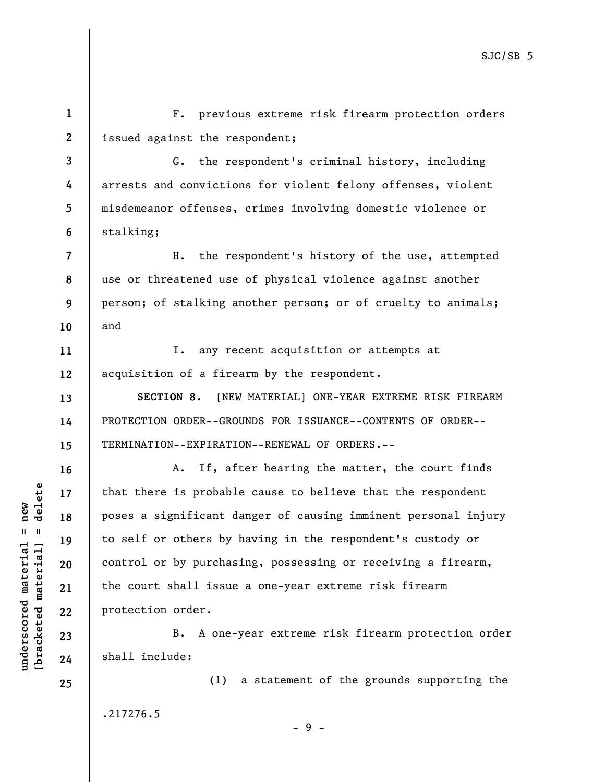**1 2**  F. previous extreme risk firearm protection orders issued against the respondent;

**3 4 5 6**  G. the respondent's criminal history, including arrests and convictions for violent felony offenses, violent misdemeanor offenses, crimes involving domestic violence or stalking;

**7 8 9 10**  H. the respondent's history of the use, attempted use or threatened use of physical violence against another person; of stalking another person; or of cruelty to animals; and

**11 12**  I. any recent acquisition or attempts at acquisition of a firearm by the respondent.

**SECTION 8.** [NEW MATERIAL] ONE-YEAR EXTREME RISK FIREARM PROTECTION ORDER--GROUNDS FOR ISSUANCE--CONTENTS OF ORDER-- TERMINATION--EXPIRATION--RENEWAL OF ORDERS.--

A. If, after hearing the matter, the court finds that there is probable cause to believe that the respondent poses a significant danger of causing imminent personal injury to self or others by having in the respondent's custody or control or by purchasing, possessing or receiving a firearm, the court shall issue a one-year extreme risk firearm protection order.

B. A one-year extreme risk firearm protection order shall include:

(1) a statement of the grounds supporting the .217276.5 - 9 -

 $b$ racketed material] = delete **[bracketed material] = delete**  $underscored material = new$ **underscored material = new**

**25** 

**13** 

**14** 

**15** 

**16** 

**17** 

**18** 

**19** 

**20** 

**21** 

**22** 

**23**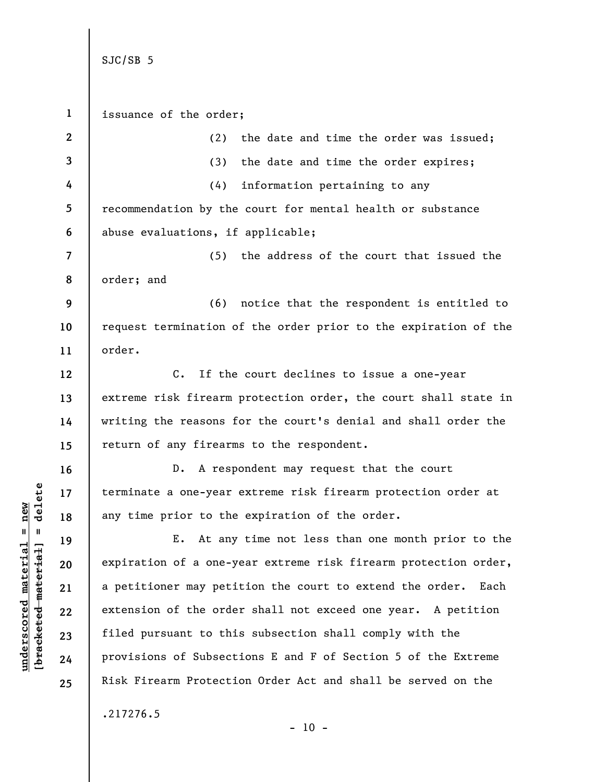**1 2 3 4 5 6 7 8 9 10 11 12 13 14 15 16 17 18 19 20 21 22 23 24 25**  SJC/SB 5 issuance of the order; (2) the date and time the order was issued; (3) the date and time the order expires; (4) information pertaining to any recommendation by the court for mental health or substance abuse evaluations, if applicable; (5) the address of the court that issued the order; and (6) notice that the respondent is entitled to request termination of the order prior to the expiration of the order. C. If the court declines to issue a one-year extreme risk firearm protection order, the court shall state in writing the reasons for the court's denial and shall order the return of any firearms to the respondent. D. A respondent may request that the court terminate a one-year extreme risk firearm protection order at any time prior to the expiration of the order. E. At any time not less than one month prior to the expiration of a one-year extreme risk firearm protection order, a petitioner may petition the court to extend the order. Each extension of the order shall not exceed one year. A petition filed pursuant to this subsection shall comply with the provisions of Subsections E and F of Section 5 of the Extreme Risk Firearm Protection Order Act and shall be served on the .217276.5  $- 10 -$ 

**underscored material = new [bracketed material] = delete**

 $b$ racketed material] = delete  $underscored material = new$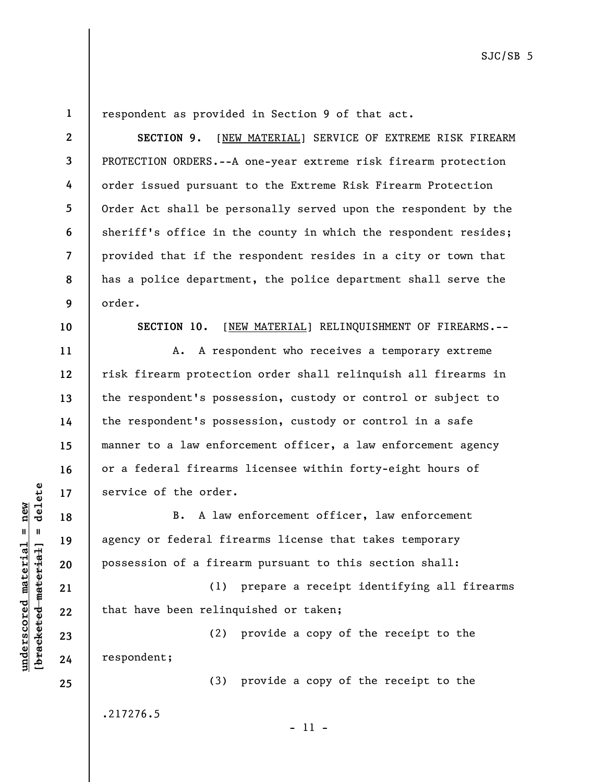**1** 

**2** 

**3** 

**4** 

**5** 

**6** 

**7** 

**8** 

**9** 

respondent as provided in Section 9 of that act.

**SECTION 9.** [NEW MATERIAL] SERVICE OF EXTREME RISK FIREARM PROTECTION ORDERS.--A one-year extreme risk firearm protection order issued pursuant to the Extreme Risk Firearm Protection Order Act shall be personally served upon the respondent by the sheriff's office in the county in which the respondent resides; provided that if the respondent resides in a city or town that has a police department, the police department shall serve the order.

**10** 

**11** 

**12** 

**13** 

**14** 

**15** 

**16** 

**17** 

**18** 

**19** 

**20** 

**21** 

**22** 

**23** 

**24** 

**25** 

**SECTION 10.** [NEW MATERIAL] RELINQUISHMENT OF FIREARMS.--

A. A respondent who receives a temporary extreme risk firearm protection order shall relinquish all firearms in the respondent's possession, custody or control or subject to the respondent's possession, custody or control in a safe manner to a law enforcement officer, a law enforcement agency or a federal firearms licensee within forty-eight hours of service of the order.

B. A law enforcement officer, law enforcement agency or federal firearms license that takes temporary possession of a firearm pursuant to this section shall:

(1) prepare a receipt identifying all firearms that have been relinquished or taken;

(2) provide a copy of the receipt to the respondent;

(3) provide a copy of the receipt to the .217276.5

- 11 -

 $\frac{1}{2}$  of  $\frac{1}{2}$  and  $\frac{1}{2}$  and  $\frac{1}{2}$  and  $\frac{1}{2}$  and  $\frac{1}{2}$  and  $\frac{1}{2}$  and  $\frac{1}{2}$  and  $\frac{1}{2}$  and  $\frac{1}{2}$  and  $\frac{1}{2}$  and  $\frac{1}{2}$  and  $\frac{1}{2}$  and  $\frac{1}{2}$  and  $\frac{1}{2}$  and  $\frac{1}{2}$  an **[bracketed material] = delete**  $underscored material = new$ **underscored material = new**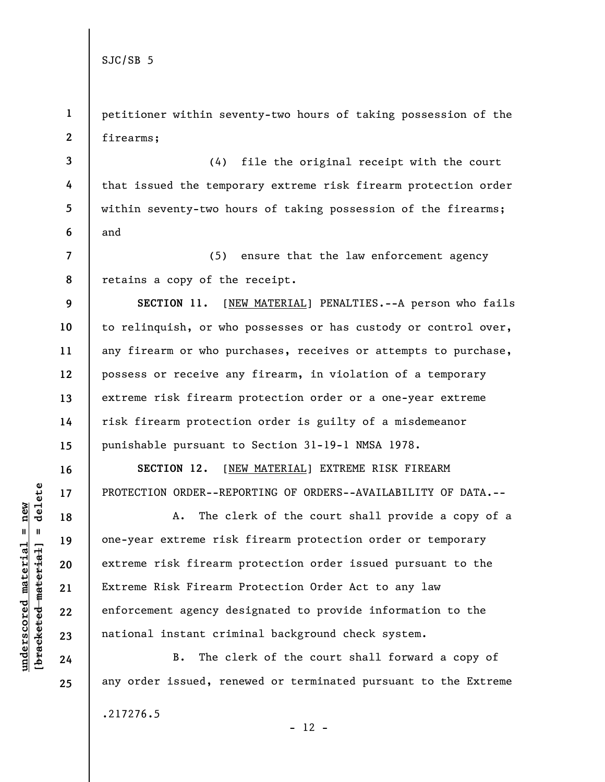**1 2**  petitioner within seventy-two hours of taking possession of the firearms;

**3 4 5 6**  (4) file the original receipt with the court that issued the temporary extreme risk firearm protection order within seventy-two hours of taking possession of the firearms; and

**7 8**  (5) ensure that the law enforcement agency retains a copy of the receipt.

**9 10 11 12 13 14 15 SECTION 11.** [NEW MATERIAL] PENALTIES.--A person who fails to relinquish, or who possesses or has custody or control over, any firearm or who purchases, receives or attempts to purchase, possess or receive any firearm, in violation of a temporary extreme risk firearm protection order or a one-year extreme risk firearm protection order is guilty of a misdemeanor punishable pursuant to Section 31-19-1 NMSA 1978.

**SECTION 12.** [NEW MATERIAL] EXTREME RISK FIREARM PROTECTION ORDER--REPORTING OF ORDERS--AVAILABILITY OF DATA.--

A. The clerk of the court shall provide a copy of a one-year extreme risk firearm protection order or temporary extreme risk firearm protection order issued pursuant to the Extreme Risk Firearm Protection Order Act to any law enforcement agency designated to provide information to the national instant criminal background check system.

B. The clerk of the court shall forward a copy of any order issued, renewed or terminated pursuant to the Extreme

.217276.5

 $b$ racketed material] = delete **[bracketed material] = delete**  $underscored material = new$ **underscored material = new**

**16** 

**17** 

**18** 

**19** 

**20** 

**21** 

**22** 

**23** 

**24**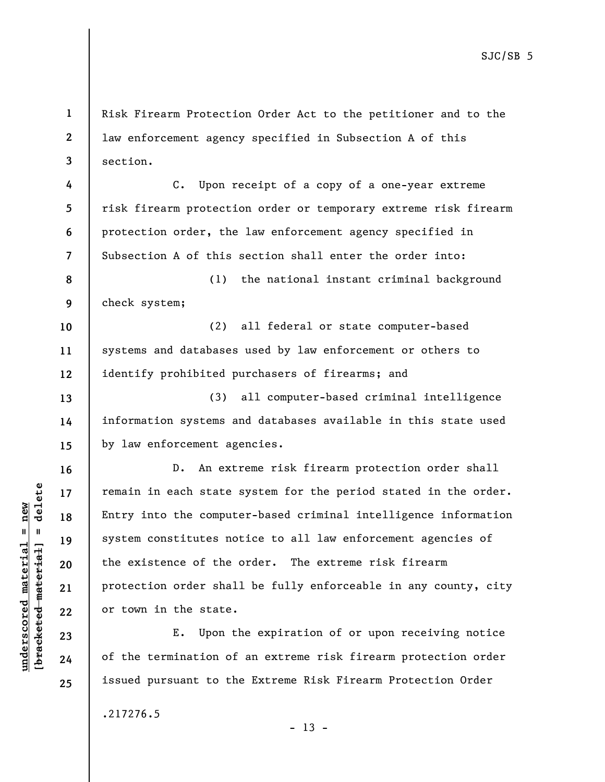Risk Firearm Protection Order Act to the petitioner and to the law enforcement agency specified in Subsection A of this section.

C. Upon receipt of a copy of a one-year extreme risk firearm protection order or temporary extreme risk firearm protection order, the law enforcement agency specified in Subsection A of this section shall enter the order into:

**8 9**  (1) the national instant criminal background check system;

(2) all federal or state computer-based systems and databases used by law enforcement or others to identify prohibited purchasers of firearms; and

(3) all computer-based criminal intelligence information systems and databases available in this state used by law enforcement agencies.

D. An extreme risk firearm protection order shall remain in each state system for the period stated in the order. Entry into the computer-based criminal intelligence information system constitutes notice to all law enforcement agencies of the existence of the order. The extreme risk firearm protection order shall be fully enforceable in any county, city or town in the state.

E. Upon the expiration of or upon receiving notice of the termination of an extreme risk firearm protection order issued pursuant to the Extreme Risk Firearm Protection Order

 $- 13 -$ 

.217276.5

 $b$ racketed material] = delete **[bracketed material] = delete**  $underscored material = new$ **underscored material = new**

**1** 

**2** 

**3** 

**4** 

**5** 

**6** 

**7** 

**10** 

**11** 

**12** 

**13** 

**14** 

**15** 

**16** 

**17** 

**18** 

**19** 

**20** 

**21** 

**22** 

**23** 

**24**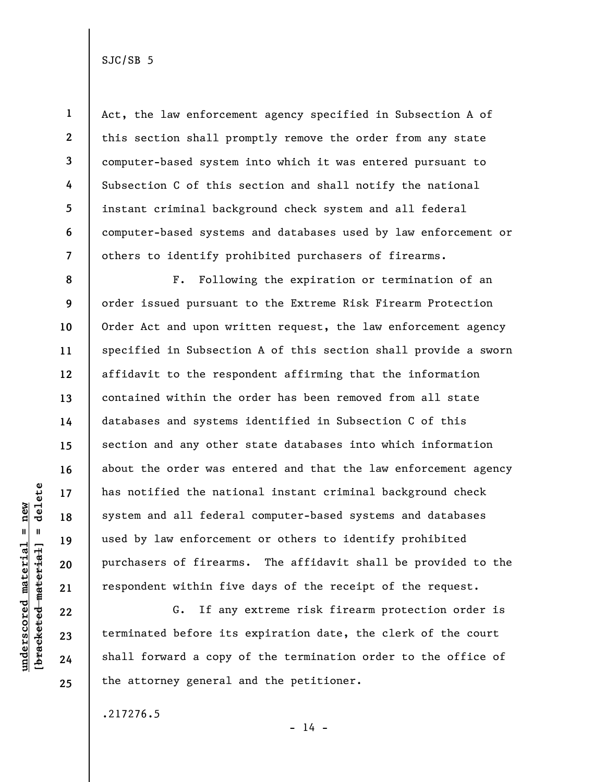**1** 

**2** 

**3** 

**4** 

**5** 

**6** 

**7** 

Act, the law enforcement agency specified in Subsection A of this section shall promptly remove the order from any state computer-based system into which it was entered pursuant to Subsection C of this section and shall notify the national instant criminal background check system and all federal computer-based systems and databases used by law enforcement or others to identify prohibited purchasers of firearms.

**8 9 10 11 12 13 14 15 16 17 18 19 20 21**  F. Following the expiration or termination of an order issued pursuant to the Extreme Risk Firearm Protection Order Act and upon written request, the law enforcement agency specified in Subsection A of this section shall provide a sworn affidavit to the respondent affirming that the information contained within the order has been removed from all state databases and systems identified in Subsection C of this section and any other state databases into which information about the order was entered and that the law enforcement agency has notified the national instant criminal background check system and all federal computer-based systems and databases used by law enforcement or others to identify prohibited purchasers of firearms. The affidavit shall be provided to the respondent within five days of the receipt of the request.

G. If any extreme risk firearm protection order is terminated before its expiration date, the clerk of the court shall forward a copy of the termination order to the office of the attorney general and the petitioner.

.217276.5

delete **[bracketed material] = delete**  $underscored material = new$ **underscored material = new**  $\mathbf{I}$ bracketed material

**22** 

**23** 

**24** 

**25** 

 $- 14 -$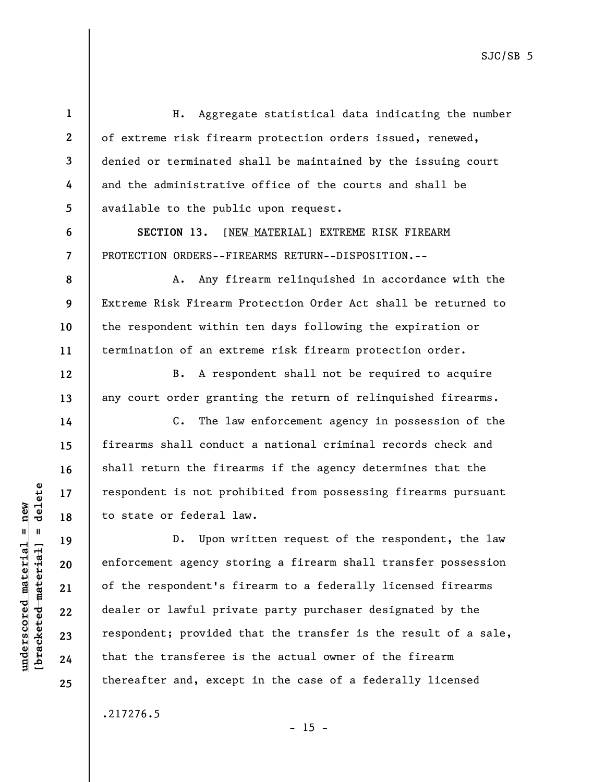H. Aggregate statistical data indicating the number of extreme risk firearm protection orders issued, renewed, denied or terminated shall be maintained by the issuing court and the administrative office of the courts and shall be available to the public upon request.

**SECTION 13.** [NEW MATERIAL] EXTREME RISK FIREARM PROTECTION ORDERS--FIREARMS RETURN--DISPOSITION.--

A. Any firearm relinquished in accordance with the Extreme Risk Firearm Protection Order Act shall be returned to the respondent within ten days following the expiration or termination of an extreme risk firearm protection order.

B. A respondent shall not be required to acquire any court order granting the return of relinquished firearms.

C. The law enforcement agency in possession of the firearms shall conduct a national criminal records check and shall return the firearms if the agency determines that the respondent is not prohibited from possessing firearms pursuant to state or federal law.

D. Upon written request of the respondent, the law enforcement agency storing a firearm shall transfer possession of the respondent's firearm to a federally licensed firearms dealer or lawful private party purchaser designated by the respondent; provided that the transfer is the result of a sale, that the transferee is the actual owner of the firearm thereafter and, except in the case of a federally licensed

 $- 15 -$ 

.217276.5

 $\frac{1}{2}$  of  $\frac{1}{2}$  and  $\frac{1}{2}$  and  $\frac{1}{2}$  and  $\frac{1}{2}$  and  $\frac{1}{2}$  and  $\frac{1}{2}$  and  $\frac{1}{2}$  and  $\frac{1}{2}$  and  $\frac{1}{2}$  and  $\frac{1}{2}$  and  $\frac{1}{2}$  and  $\frac{1}{2}$  and  $\frac{1}{2}$  and  $\frac{1}{2}$  and  $\frac{1}{2}$  an **[bracketed material] = delete**  $underscored material = new$ **underscored material = new**

**1** 

**2** 

**3** 

**4** 

**5** 

**6** 

**7** 

**8** 

**9** 

**10** 

**11** 

**12** 

**13** 

**14** 

**15** 

**16** 

**17** 

**18** 

**19** 

**20** 

**21** 

**22** 

**23** 

**24**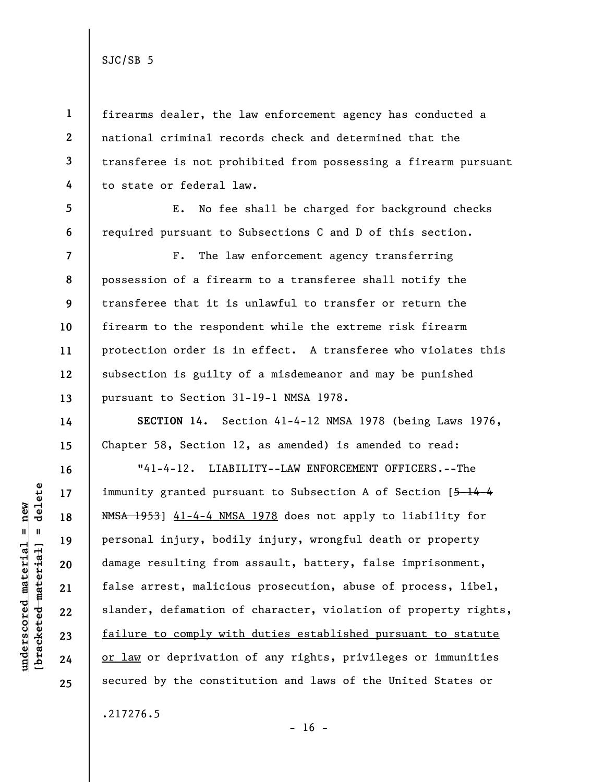**1** 

**2** 

**3** 

**4** 

**5** 

**6** 

**14** 

**15** 

**16** 

**17** 

**18** 

**19** 

**20** 

**21** 

**22** 

**23** 

**24** 

**25** 

firearms dealer, the law enforcement agency has conducted a national criminal records check and determined that the transferee is not prohibited from possessing a firearm pursuant to state or federal law.

E. No fee shall be charged for background checks required pursuant to Subsections C and D of this section.

**7 8 9 10 11 12 13**  F. The law enforcement agency transferring possession of a firearm to a transferee shall notify the transferee that it is unlawful to transfer or return the firearm to the respondent while the extreme risk firearm protection order is in effect. A transferee who violates this subsection is guilty of a misdemeanor and may be punished pursuant to Section 31-19-1 NMSA 1978.

**SECTION 14.** Section 41-4-12 NMSA 1978 (being Laws 1976, Chapter 58, Section 12, as amended) is amended to read:

"41-4-12. LIABILITY--LAW ENFORCEMENT OFFICERS.--The immunity granted pursuant to Subsection A of Section [5-14-4] NMSA 1953] 41-4-4 NMSA 1978 does not apply to liability for personal injury, bodily injury, wrongful death or property damage resulting from assault, battery, false imprisonment, false arrest, malicious prosecution, abuse of process, libel, slander, defamation of character, violation of property rights, failure to comply with duties established pursuant to statute or law or deprivation of any rights, privileges or immunities secured by the constitution and laws of the United States or

.217276.5

delete **[bracketed material] = delete**  $underscored material = new$ **underscored material = new**  $\mathbf{I}$ bracketed material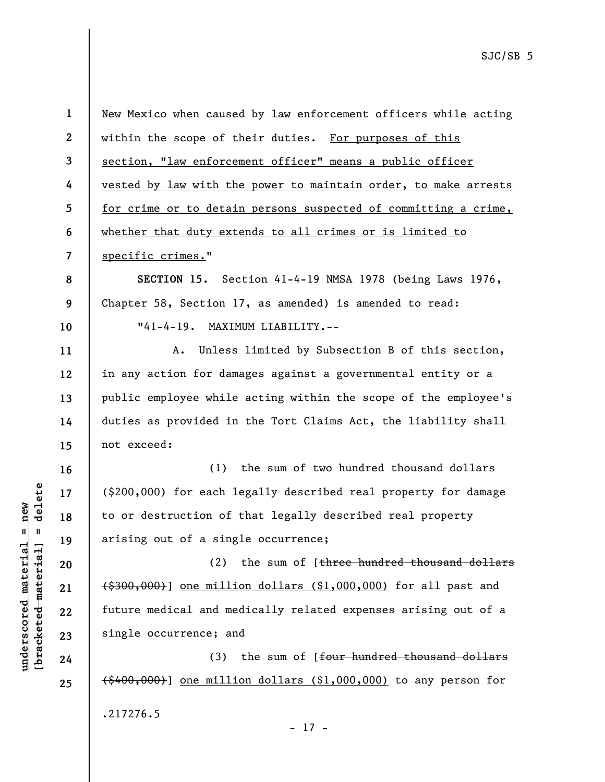**2 3 4 5 6 7**  within the scope of their duties. For purposes of this section, "law enforcement officer" means a public officer vested by law with the power to maintain order, to make arrests for crime or to detain persons suspected of committing a crime, whether that duty extends to all crimes or is limited to specific crimes."

New Mexico when caused by law enforcement officers while acting

**SECTION 15.** Section 41-4-19 NMSA 1978 (being Laws 1976, Chapter 58, Section 17, as amended) is amended to read: "41-4-19. MAXIMUM LIABILITY.--

A. Unless limited by Subsection B of this section, in any action for damages against a governmental entity or a public employee while acting within the scope of the employee's duties as provided in the Tort Claims Act, the liability shall not exceed:

(1) the sum of two hundred thousand dollars (\$200,000) for each legally described real property for damage to or destruction of that legally described real property arising out of a single occurrence;

(2) the sum of [three hundred thousand dollars (\$300,000)] one million dollars (\$1,000,000) for all past and future medical and medically related expenses arising out of a single occurrence; and

(3) the sum of [four hundred thousand dollars  $(1,000,000)$ ] one million dollars (\$1,000,000) to any person for .217276.5

 $b$ racketed material] = delete **[bracketed material] = delete**  $underscored material = new$ **underscored material = new**

**1** 

**8** 

**9** 

**10** 

**11** 

**12** 

**13** 

**14** 

**15** 

**16** 

**17** 

**18** 

**19** 

**20** 

**21** 

**22** 

**23** 

**24** 

**25** 

- 17 -